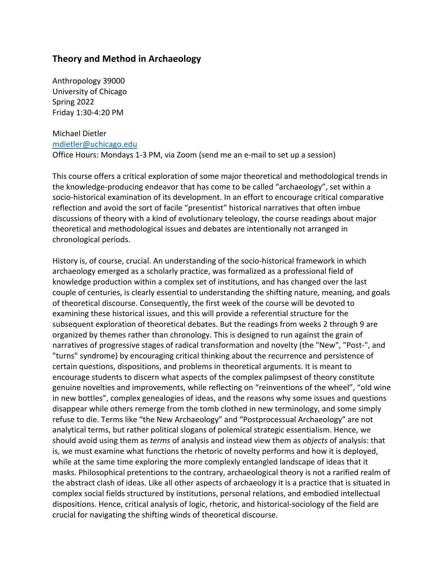# **Theory and Method in Archaeology**

Anthropology 39000 University of Chicago Spring 2022 Friday 1:30-4:20 PM

Michael Dietler mdietler@uchicago.edu Office Hours: Mondays 1-3 PM, via Zoom (send me an e-mail to set up a session)

This course offers a critical exploration of some major theoretical and methodological trends in the knowledge-producing endeavor that has come to be called "archaeology", set within a socio-historical examination of its development. In an effort to encourage critical comparative reflection and avoid the sort of facile "presentist" historical narratives that often imbue discussions of theory with a kind of evolutionary teleology, the course readings about major theoretical and methodological issues and debates are intentionally not arranged in chronological periods.

History is, of course, crucial. An understanding of the socio-historical framework in which archaeology emerged as a scholarly practice, was formalized as a professional field of knowledge production within a complex set of institutions, and has changed over the last couple of centuries, is clearly essential to understanding the shifting nature, meaning, and goals of theoretical discourse. Consequently, the first week of the course will be devoted to examining these historical issues, and this will provide a referential structure for the subsequent exploration of theoretical debates. But the readings from weeks 2 through 9 are organized by themes rather than chronology. This is designed to run against the grain of narratives of progressive stages of radical transformation and novelty (the "New", "Post-", and "turns" syndrome) by encouraging critical thinking about the recurrence and persistence of certain questions, dispositions, and problems in theoretical arguments. It is meant to encourage students to discern what aspects of the complex palimpsest of theory constitute genuine novelties and improvements, while reflecting on "reinventions of the wheel", "old wine in new bottles", complex genealogies of ideas, and the reasons why some issues and questions disappear while others remerge from the tomb clothed in new terminology, and some simply refuse to die. Terms like "the New Archaeology" and "Postprocessual Archaeology" are not analytical terms, but rather political slogans of polemical strategic essentialism. Hence, we should avoid using them as *terms* of analysis and instead view them as *objects* of analysis: that is, we must examine what functions the rhetoric of novelty performs and how it is deployed, while at the same time exploring the more complexly entangled landscape of ideas that it masks. Philosophical pretentions to the contrary, archaeological theory is not a rarified realm of the abstract clash of ideas. Like all other aspects of archaeology it is a practice that is situated in complex social fields structured by institutions, personal relations, and embodied intellectual dispositions. Hence, critical analysis of logic, rhetoric, and historical-sociology of the field are crucial for navigating the shifting winds of theoretical discourse.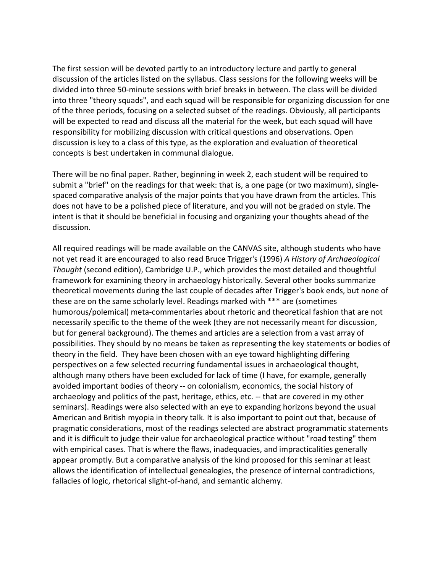The first session will be devoted partly to an introductory lecture and partly to general discussion of the articles listed on the syllabus. Class sessions for the following weeks will be divided into three 50-minute sessions with brief breaks in between. The class will be divided into three "theory squads", and each squad will be responsible for organizing discussion for one of the three periods, focusing on a selected subset of the readings. Obviously, all participants will be expected to read and discuss all the material for the week, but each squad will have responsibility for mobilizing discussion with critical questions and observations. Open discussion is key to a class of this type, as the exploration and evaluation of theoretical concepts is best undertaken in communal dialogue.

There will be no final paper. Rather, beginning in week 2, each student will be required to submit a "brief" on the readings for that week: that is, a one page (or two maximum), singlespaced comparative analysis of the major points that you have drawn from the articles. This does not have to be a polished piece of literature, and you will not be graded on style. The intent is that it should be beneficial in focusing and organizing your thoughts ahead of the discussion.

All required readings will be made available on the CANVAS site, although students who have not yet read it are encouraged to also read Bruce Trigger's (1996) *A History of Archaeological Thought* (second edition), Cambridge U.P., which provides the most detailed and thoughtful framework for examining theory in archaeology historically. Several other books summarize theoretical movements during the last couple of decades after Trigger's book ends, but none of these are on the same scholarly level. Readings marked with \*\*\* are (sometimes humorous/polemical) meta-commentaries about rhetoric and theoretical fashion that are not necessarily specific to the theme of the week (they are not necessarily meant for discussion, but for general background). The themes and articles are a selection from a vast array of possibilities. They should by no means be taken as representing the key statements or bodies of theory in the field. They have been chosen with an eye toward highlighting differing perspectives on a few selected recurring fundamental issues in archaeological thought, although many others have been excluded for lack of time (I have, for example, generally avoided important bodies of theory -- on colonialism, economics, the social history of archaeology and politics of the past, heritage, ethics, etc. -- that are covered in my other seminars). Readings were also selected with an eye to expanding horizons beyond the usual American and British myopia in theory talk. It is also important to point out that, because of pragmatic considerations, most of the readings selected are abstract programmatic statements and it is difficult to judge their value for archaeological practice without "road testing" them with empirical cases. That is where the flaws, inadequacies, and impracticalities generally appear promptly. But a comparative analysis of the kind proposed for this seminar at least allows the identification of intellectual genealogies, the presence of internal contradictions, fallacies of logic, rhetorical slight-of-hand, and semantic alchemy.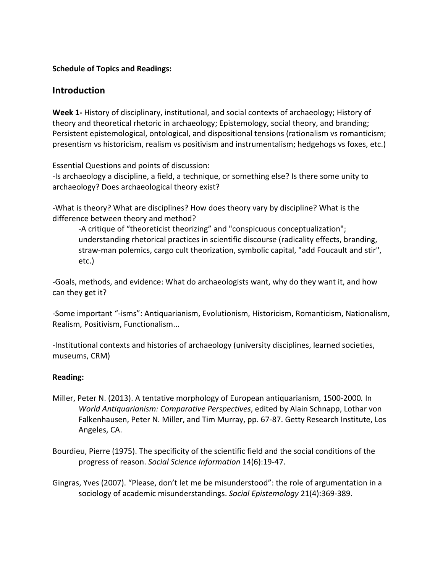### **Schedule of Topics and Readings:**

## **Introduction**

**Week 1-** History of disciplinary, institutional, and social contexts of archaeology; History of theory and theoretical rhetoric in archaeology; Epistemology, social theory, and branding; Persistent epistemological, ontological, and dispositional tensions (rationalism vs romanticism; presentism vs historicism, realism vs positivism and instrumentalism; hedgehogs vs foxes, etc.)

Essential Questions and points of discussion:

-Is archaeology a discipline, a field, a technique, or something else? Is there some unity to archaeology? Does archaeological theory exist?

-What is theory? What are disciplines? How does theory vary by discipline? What is the difference between theory and method?

-A critique of "theoreticist theorizing" and "conspicuous conceptualization"; understanding rhetorical practices in scientific discourse (radicality effects, branding, straw-man polemics, cargo cult theorization, symbolic capital, "add Foucault and stir", etc.)

-Goals, methods, and evidence: What do archaeologists want, why do they want it, and how can they get it?

-Some important "-isms": Antiquarianism, Evolutionism, Historicism, Romanticism, Nationalism, Realism, Positivism, Functionalism...

-Institutional contexts and histories of archaeology (university disciplines, learned societies, museums, CRM)

### **Reading:**

- Miller, Peter N. (2013). A tentative morphology of European antiquarianism, 1500-2000*.* In *World Antiquarianism: Comparative Perspectives*, edited by Alain Schnapp, Lothar von Falkenhausen, Peter N. Miller, and Tim Murray, pp. 67-87. Getty Research Institute, Los Angeles, CA.
- Bourdieu, Pierre (1975). The specificity of the scientific field and the social conditions of the progress of reason. *Social Science Information* 14(6):19-47.

Gingras, Yves (2007). "Please, don't let me be misunderstood": the role of argumentation in a sociology of academic misunderstandings. *Social Epistemology* 21(4):369-389.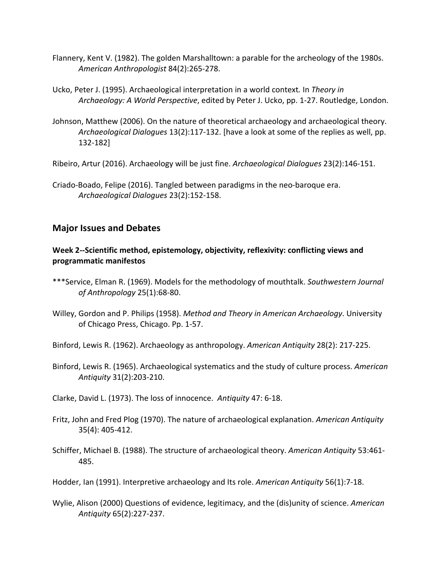- Flannery, Kent V. (1982). The golden Marshalltown: a parable for the archeology of the 1980s. *American Anthropologist* 84(2):265-278.
- Ucko, Peter J. (1995). Archaeological interpretation in a world context*.* In *Theory in Archaeology: A World Perspective*, edited by Peter J. Ucko, pp. 1-27. Routledge, London.
- Johnson, Matthew (2006). On the nature of theoretical archaeology and archaeological theory. *Archaeological Dialogues* 13(2):117-132. [have a look at some of the replies as well, pp. 132-182]

Ribeiro, Artur (2016). Archaeology will be just fine. *Archaeological Dialogues* 23(2):146-151.

Criado-Boado, Felipe (2016). Tangled between paradigms in the neo-baroque era. *Archaeological Dialogues* 23(2):152-158.

# **Major Issues and Debates**

## **Week 2--Scientific method, epistemology, objectivity, reflexivity: conflicting views and programmatic manifestos**

- \*\*\*Service, Elman R. (1969). Models for the methodology of mouthtalk. *Southwestern Journal of Anthropology* 25(1):68-80.
- Willey, Gordon and P. Philips (1958). *Method and Theory in American Archaeology*. University of Chicago Press, Chicago. Pp. 1-57.

Binford, Lewis R. (1962). Archaeology as anthropology. *American Antiquity* 28(2): 217-225.

Binford, Lewis R. (1965). Archaeological systematics and the study of culture process. *American Antiquity* 31(2):203-210.

Clarke, David L. (1973). The loss of innocence. *Antiquity* 47: 6-18.

- Fritz, John and Fred Plog (1970). The nature of archaeological explanation. *American Antiquity* 35(4): 405-412.
- Schiffer, Michael B. (1988). The structure of archaeological theory. *American Antiquity* 53:461- 485.

Hodder, Ian (1991). Interpretive archaeology and Its role. *American Antiquity* 56(1):7-18.

Wylie, Alison (2000) Questions of evidence, legitimacy, and the (dis)unity of science. *American Antiquity* 65(2):227-237.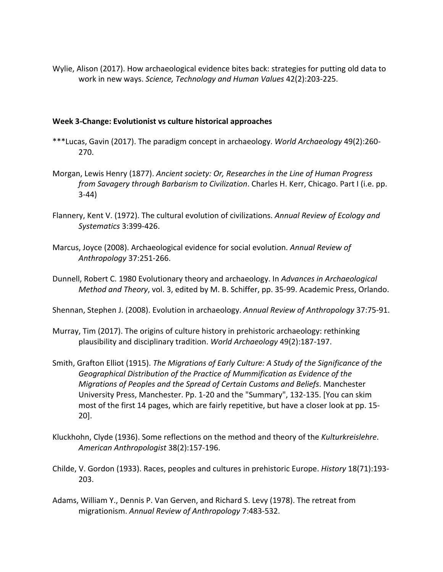Wylie, Alison (2017). How archaeological evidence bites back: strategies for putting old data to work in new ways. *Science, Technology and Human Values* 42(2):203-225.

#### **Week 3-Change: Evolutionist vs culture historical approaches**

- \*\*\*Lucas, Gavin (2017). The paradigm concept in archaeology. *World Archaeology* 49(2):260- 270.
- Morgan, Lewis Henry (1877). *Ancient society: Or, Researches in the Line of Human Progress from Savagery through Barbarism to Civilization*. Charles H. Kerr, Chicago. Part I (i.e. pp. 3-44)
- Flannery, Kent V. (1972). The cultural evolution of civilizations. *Annual Review of Ecology and Systematics* 3:399-426.
- Marcus, Joyce (2008). Archaeological evidence for social evolution. *Annual Review of Anthropology* 37:251-266.
- Dunnell, Robert C. 1980 Evolutionary theory and archaeology. In *Advances in Archaeological Method and Theory*, vol. 3, edited by M. B. Schiffer, pp. 35-99. Academic Press, Orlando.
- Shennan, Stephen J. (2008). Evolution in archaeology. *Annual Review of Anthropology* 37:75-91.
- Murray, Tim (2017). The origins of culture history in prehistoric archaeology: rethinking plausibility and disciplinary tradition. *World Archaeology* 49(2):187-197.
- Smith, Grafton Elliot (1915). *The Migrations of Early Culture: A Study of the Significance of the Geographical Distribution of the Practice of Mummification as Evidence of the Migrations of Peoples and the Spread of Certain Customs and Beliefs*. Manchester University Press, Manchester. Pp. 1-20 and the "Summary", 132-135. [You can skim most of the first 14 pages, which are fairly repetitive, but have a closer look at pp. 15- 20].
- Kluckhohn, Clyde (1936). Some reflections on the method and theory of the *Kulturkreislehre*. *American Anthropologist* 38(2):157-196.
- Childe, V. Gordon (1933). Races, peoples and cultures in prehistoric Europe. *History* 18(71):193- 203.
- Adams, William Y., Dennis P. Van Gerven, and Richard S. Levy (1978). The retreat from migrationism. *Annual Review of Anthropology* 7:483-532.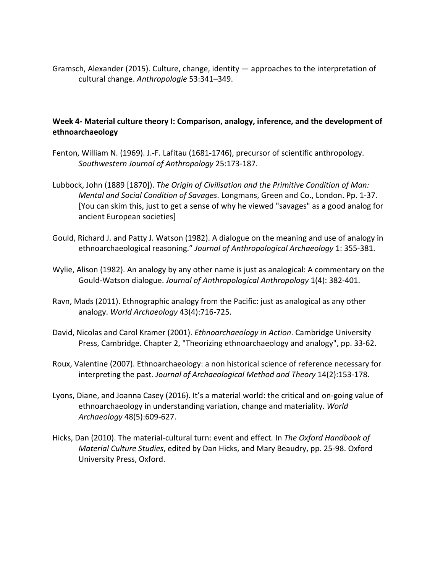Gramsch, Alexander (2015). Culture, change, identity — approaches to the interpretation of cultural change. *Anthropologie* 53:341–349.

## **Week 4- Material culture theory I: Comparison, analogy, inference, and the development of ethnoarchaeology**

- Fenton, William N. (1969). J.-F. Lafitau (1681-1746), precursor of scientific anthropology. *Southwestern Journal of Anthropology* 25:173-187.
- Lubbock, John (1889 [1870]). *The Origin of Civilisation and the Primitive Condition of Man: Mental and Social Condition of Savages*. Longmans, Green and Co., London. Pp. 1-37. [You can skim this, just to get a sense of why he viewed "savages" as a good analog for ancient European societies]
- Gould, Richard J. and Patty J. Watson (1982). A dialogue on the meaning and use of analogy in ethnoarchaeological reasoning." *Journal of Anthropological Archaeology* 1: 355-381.
- Wylie, Alison (1982). An analogy by any other name is just as analogical: A commentary on the Gould-Watson dialogue. *Journal of Anthropological Anthropology* 1(4): 382-401.
- Ravn, Mads (2011). Ethnographic analogy from the Pacific: just as analogical as any other analogy. *World Archaeology* 43(4):716-725.
- David, Nicolas and Carol Kramer (2001). *Ethnoarchaeology in Action*. Cambridge University Press, Cambridge. Chapter 2, "Theorizing ethnoarchaeology and analogy", pp. 33-62.
- Roux, Valentine (2007). Ethnoarchaeology: a non historical science of reference necessary for interpreting the past. *Journal of Archaeological Method and Theory* 14(2):153-178.
- Lyons, Diane, and Joanna Casey (2016). It's a material world: the critical and on-going value of ethnoarchaeology in understanding variation, change and materiality. *World Archaeology* 48(5):609-627.
- Hicks, Dan (2010). The material-cultural turn: event and effect*.* In *The Oxford Handbook of Material Culture Studies*, edited by Dan Hicks, and Mary Beaudry, pp. 25-98. Oxford University Press, Oxford.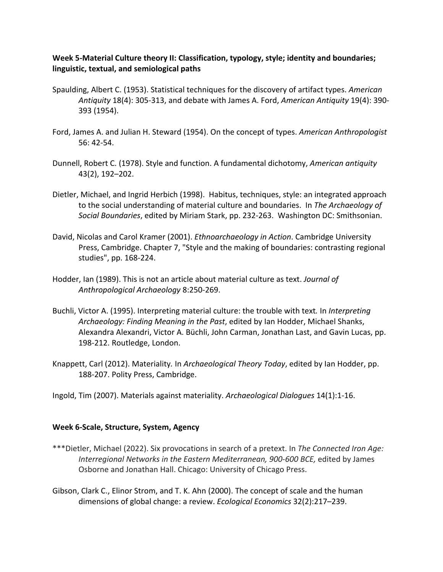## **Week 5-Material Culture theory II: Classification, typology, style; identity and boundaries; linguistic, textual, and semiological paths**

- Spaulding, Albert C. (1953). Statistical techniques for the discovery of artifact types. *American Antiquity* 18(4): 305-313, and debate with James A. Ford, *American Antiquity* 19(4): 390- 393 (1954).
- Ford, James A. and Julian H. Steward (1954). On the concept of types. *American Anthropologist* 56: 42-54.
- Dunnell, Robert C. (1978). Style and function. A fundamental dichotomy, *American antiquity*  43(2), 192–202.
- Dietler, Michael, and Ingrid Herbich (1998). Habitus, techniques, style: an integrated approach to the social understanding of material culture and boundaries. In *The Archaeology of Social Boundaries*, edited by Miriam Stark, pp. 232-263. Washington DC: Smithsonian.
- David, Nicolas and Carol Kramer (2001). *Ethnoarchaeology in Action*. Cambridge University Press, Cambridge. Chapter 7, "Style and the making of boundaries: contrasting regional studies", pp. 168-224.
- Hodder, Ian (1989). This is not an article about material culture as text. *Journal of Anthropological Archaeology* 8:250-269.
- Buchli, Victor A. (1995). Interpreting material culture: the trouble with text*.* In *Interpreting Archaeology: Finding Meaning in the Past*, edited by Ian Hodder, Michael Shanks, Alexandra Alexandri, Victor A. Büchli, John Carman, Jonathan Last, and Gavin Lucas, pp. 198-212. Routledge, London.
- Knappett, Carl (2012). Materiality*.* In *Archaeological Theory Today*, edited by Ian Hodder, pp. 188-207. Polity Press, Cambridge.
- Ingold, Tim (2007). Materials against materiality. *Archaeological Dialogues* 14(1):1-16.

### **Week 6-Scale, Structure, System, Agency**

- \*\*\*Dietler, Michael (2022). Six provocations in search of a pretext. In *The Connected Iron Age: Interregional Networks in the Eastern Mediterranean, 900-600 BCE,* edited by James Osborne and Jonathan Hall. Chicago: University of Chicago Press.
- Gibson, Clark C., Elinor Strom, and T. K. Ahn (2000). The concept of scale and the human dimensions of global change: a review. *Ecological Economics* 32(2):217–239.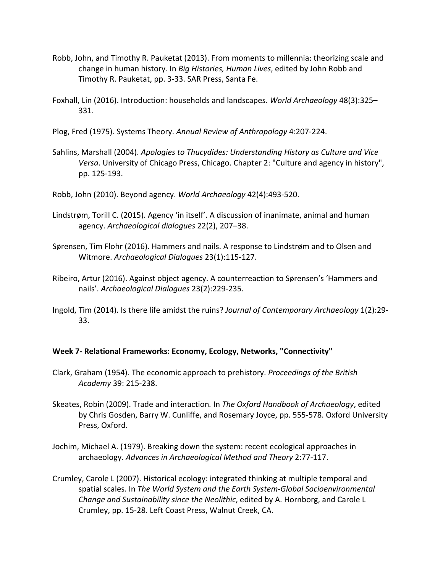- Robb, John, and Timothy R. Pauketat (2013). From moments to millennia: theorizing scale and change in human history*.* In *Big Histories, Human Lives*, edited by John Robb and Timothy R. Pauketat, pp. 3-33. SAR Press, Santa Fe.
- Foxhall, Lin (2016). Introduction: households and landscapes. *World Archaeology* 48(3):325– 331.
- Plog, Fred (1975). Systems Theory. *Annual Review of Anthropology* 4:207-224.
- Sahlins, Marshall (2004). *Apologies to Thucydides: Understanding History as Culture and Vice Versa*. University of Chicago Press, Chicago. Chapter 2: "Culture and agency in history", pp. 125-193.
- Robb, John (2010). Beyond agency. *World Archaeology* 42(4):493-520.
- Lindstrøm, Torill C. (2015). Agency 'in itself'. A discussion of inanimate, animal and human agency. *Archaeological dialogues* 22(2), 207–38.
- Sørensen, Tim Flohr (2016). Hammers and nails. A response to Lindstrøm and to Olsen and Witmore. *Archaeological Dialogues* 23(1):115-127.
- Ribeiro, Artur (2016). Against object agency. A counterreaction to Sørensen's 'Hammers and nails'. *Archaeological Dialogues* 23(2):229-235.
- Ingold, Tim (2014). Is there life amidst the ruins? *Journal of Contemporary Archaeology* 1(2):29- 33.

### **Week 7- Relational Frameworks: Economy, Ecology, Networks, "Connectivity"**

- Clark, Graham (1954). The economic approach to prehistory. *Proceedings of the British Academy* 39: 215-238.
- Skeates, Robin (2009). Trade and interaction*.* In *The Oxford Handbook of Archaeology*, edited by Chris Gosden, Barry W. Cunliffe, and Rosemary Joyce, pp. 555-578. Oxford University Press, Oxford.
- Jochim, Michael A. (1979). Breaking down the system: recent ecological approaches in archaeology. *Advances in Archaeological Method and Theory* 2:77-117.
- Crumley, Carole L (2007). Historical ecology: integrated thinking at multiple temporal and spatial scales*.* In *The World System and the Earth System-Global Socioenvironmental Change and Sustainability since the Neolithic*, edited by A. Hornborg, and Carole L Crumley, pp. 15-28. Left Coast Press, Walnut Creek, CA.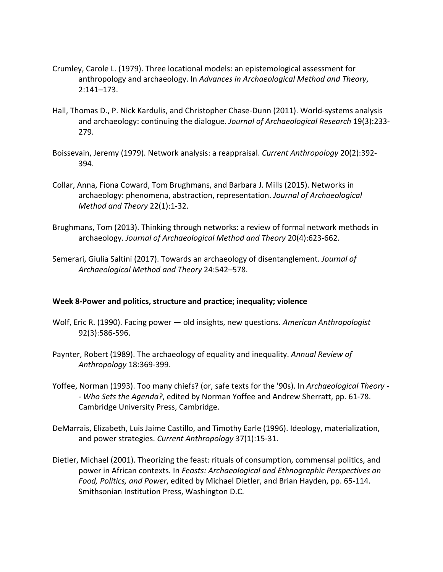- Crumley, Carole L. (1979). Three locational models: an epistemological assessment for anthropology and archaeology. In *Advances in Archaeological Method and Theory*, 2:141–173.
- Hall, Thomas D., P. Nick Kardulis, and Christopher Chase-Dunn (2011). World-systems analysis and archaeology: continuing the dialogue. *Journal of Archaeological Research* 19(3):233- 279.
- Boissevain, Jeremy (1979). Network analysis: a reappraisal. *Current Anthropology* 20(2):392- 394.
- Collar, Anna, Fiona Coward, Tom Brughmans, and Barbara J. Mills (2015). Networks in archaeology: phenomena, abstraction, representation. *Journal of Archaeological Method and Theory* 22(1):1-32.
- Brughmans, Tom (2013). Thinking through networks: a review of formal network methods in archaeology. *Journal of Archaeological Method and Theory* 20(4):623-662.
- Semerari, Giulia Saltini (2017). Towards an archaeology of disentanglement. *Journal of Archaeological Method and Theory* 24:542–578.

### **Week 8-Power and politics, structure and practice; inequality; violence**

- Wolf, Eric R. (1990). Facing power old insights, new questions. *American Anthropologist* 92(3):586-596.
- Paynter, Robert (1989). The archaeology of equality and inequality. *Annual Review of Anthropology* 18:369-399.
- Yoffee, Norman (1993). Too many chiefs? (or, safe texts for the '90s). In *Archaeological Theory - - Who Sets the Agenda?*, edited by Norman Yoffee and Andrew Sherratt, pp. 61-78. Cambridge University Press, Cambridge.
- DeMarrais, Elizabeth, Luis Jaime Castillo, and Timothy Earle (1996). Ideology, materialization, and power strategies. *Current Anthropology* 37(1):15-31.
- Dietler, Michael (2001). Theorizing the feast: rituals of consumption, commensal politics, and power in African contexts*.* In *Feasts: Archaeological and Ethnographic Perspectives on Food, Politics, and Power*, edited by Michael Dietler, and Brian Hayden, pp. 65-114. Smithsonian Institution Press, Washington D.C.